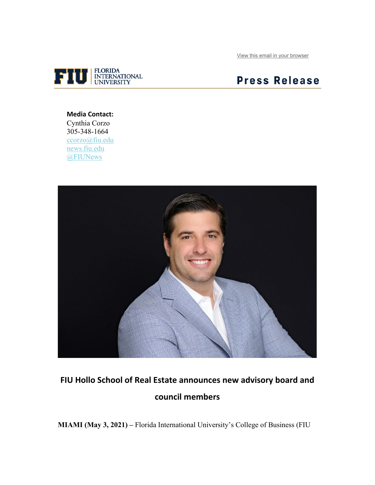[View this email in your browser](https://urldefense.com/v3/__https:/us1.campaign-archive.com/?e=__test_email__&u=d13d9ca5483e1889af5c1cd91&id=4e2ebb1619__;!!FjuHKAHQs5udqho!a9Z0kiUy9kIAm_JD5l32pBE5RW05drlUGaQr1tlh7JuOgHuUkdpoYTBxwPwGkI0$)



## **Press Release**

**Media Contact:** Cynthia Corzo 305-348-1664 [ccorzo@fiu.edu](mailto:ccorzo@fiu.edu) [news.fiu.edu](http://news.fiu.edu/) [@FIUNews](https://urldefense.com/v3/__http:/twitter.com/FIUNews__;!!FjuHKAHQs5udqho!a9Z0kiUy9kIAm_JD5l32pBE5RW05drlUGaQr1tlh7JuOgHuUkdpoYTBxwi9kW8g$)



## **FIU Hollo School of Real Estate announces new advisory board and council members**

**MIAMI (May 3, 2021) –** Florida International University's College of Business (FIU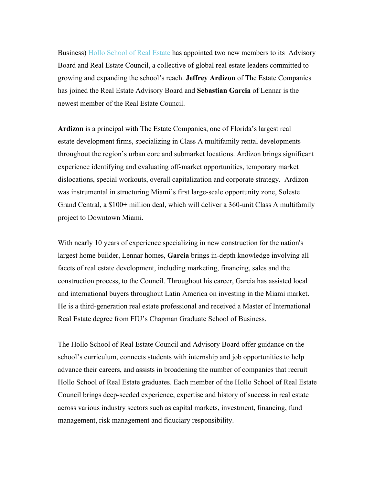Business) [Hollo School of Real Estate](https://business.fiu.edu/academic-departments/real-estate/index.cfm) has appointed two new members to its Advisory Board and Real Estate Council, a collective of global real estate leaders committed to growing and expanding the school's reach. **Jeffrey Ardizon** of The Estate Companies has joined the Real Estate Advisory Board and **Sebastian Garcia** of Lennar is the newest member of the Real Estate Council.

**Ardizon** is a principal with The Estate Companies, one of Florida's largest real estate development firms, specializing in Class A multifamily rental developments throughout the region's urban core and submarket locations. Ardizon brings significant experience identifying and evaluating off-market opportunities, temporary market dislocations, special workouts, overall capitalization and corporate strategy. Ardizon was instrumental in structuring Miami's first large-scale opportunity zone, Soleste Grand Central, a \$100+ million deal, which will deliver a 360-unit Class A multifamily project to Downtown Miami.

With nearly 10 years of experience specializing in new construction for the nation's largest home builder, Lennar homes, **Garcia** brings in-depth knowledge involving all facets of real estate development, including marketing, financing, sales and the construction process, to the Council. Throughout his career, Garcia has assisted local and international buyers throughout Latin America on investing in the Miami market. He is a third-generation real estate professional and received a Master of International Real Estate degree from FIU's Chapman Graduate School of Business.

The Hollo School of Real Estate Council and Advisory Board offer guidance on the school's curriculum, connects students with internship and job opportunities to help advance their careers, and assists in broadening the number of companies that recruit Hollo School of Real Estate graduates. Each member of the Hollo School of Real Estate Council brings deep-seeded experience, expertise and history of success in real estate across various industry sectors such as capital markets, investment, financing, fund management, risk management and fiduciary responsibility.